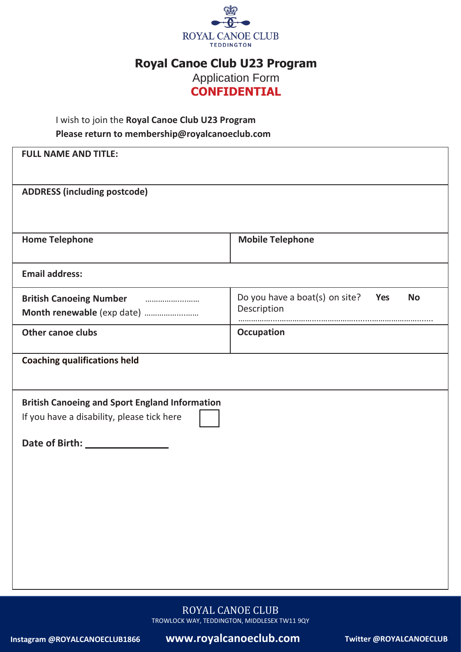

## **Royal Canoe Club U23 Program**

Application Form

# **CONFIDENTIAL**

#### I wish to join the **Royal Canoe Club U23 Program Please return to [membership@royalcanoeclub.com](mailto:membership@royalcanoeclub.com)**

| <b>FULL NAME AND TITLE:</b>                                                                         |                                                                   |  |  |  |  |  |  |
|-----------------------------------------------------------------------------------------------------|-------------------------------------------------------------------|--|--|--|--|--|--|
| <b>ADDRESS (including postcode)</b>                                                                 |                                                                   |  |  |  |  |  |  |
|                                                                                                     |                                                                   |  |  |  |  |  |  |
| <b>Home Telephone</b>                                                                               | <b>Mobile Telephone</b>                                           |  |  |  |  |  |  |
| <b>Email address:</b>                                                                               |                                                                   |  |  |  |  |  |  |
| <b>British Canoeing Number</b>                                                                      | Do you have a boat(s) on site?<br>Yes<br><b>No</b><br>Description |  |  |  |  |  |  |
| <b>Other canoe clubs</b>                                                                            | <b>Occupation</b>                                                 |  |  |  |  |  |  |
| <b>Coaching qualifications held</b>                                                                 |                                                                   |  |  |  |  |  |  |
| <b>British Canoeing and Sport England Information</b><br>If you have a disability, please tick here |                                                                   |  |  |  |  |  |  |

ROYAL CANOE CLUB TROWLOCK WAY, TEDDINGTON, MIDDLESEX TW11 9QY

**Instagram @ROYALCANOECLUB1866 www.royalcanoeclub.com Twitter @ROYALCANOECLUB**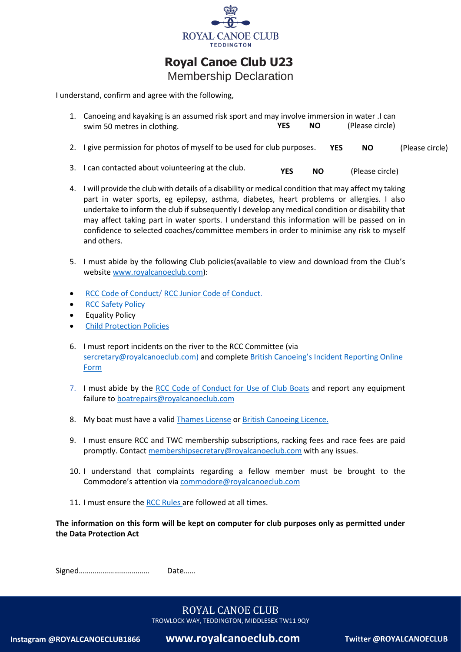

 **Royal Canoe Club U23**

Membership Declaration

I understand, confirm and agree with the following,

| 1. Canoeing and kayaking is an assumed risk sport and may involve immersion in water .I can |            |     |                 |  |  |  |
|---------------------------------------------------------------------------------------------|------------|-----|-----------------|--|--|--|
| swim 50 metres in clothing.                                                                 | <b>YES</b> | NO. | (Please circle) |  |  |  |
|                                                                                             |            |     |                 |  |  |  |

- 2. I give permission for photos of myself to be used for club purposes. **YES NO** (Please circle)
- 3. I can contacted about voiunteering at the club. **YES NO** (Please circle)
- 4. I will provide the club with details of a disability or medical condition that may affect my taking part in water sports, eg epilepsy, asthma, diabetes, heart problems or allergies. I also undertake to inform the club if subsequently I develop any medical condition or disability that may affect taking part in water sports. I understand this information will be passed on in confidence to selected coaches/committee members in order to minimise any risk to myself and others.
- 5. I must abide by the following Club policies(available to view and download from the Club's websit[e www.royalcanoeclub.com\)](http://www.royalcanoeclub.com/):
- [RCC Code of Conduct/](file:///C:/Users/44778/Documents/Royal%20Canoe%20Club%20artwork/Royal%20Canoe%20Club%20code%20of%20conduct%20%202022.docx) [RCC Junior Code of Conduct.](file:///C:/Users/44778/Documents/Royal%20Canoe%20Club%20artwork/RCC%20Junior%20code%20of%20conduct%202021.docx-1%20(2).pdf)
- [RCC Safety Policy](file:///C:/Users/44778/Documents/Royal%20Canoe%20Club%20artwork/Royal%20Canoe%20Club%20safety%20policy%202022.docx)
- Equality Policy
- [Child Protection Policies](https://www.royalcanoeclub.com/members-area/child-protection/)
- 6. I must report incidents on the river to the RCC Committee (via [sercretary@royalcanoeclub.com\)](mailto:sercretary@royalcanoeclub.com)) and complete British Canoeing's Incident Reporting Online **[Form](https://www.britishcanoeing.org.uk/go-canoeing/access-and-environment/access-to-water/incident-reporting)**
- 7. I must abide by the [RCC Code of Conduct for Use of Club Boats](https://www.royalcanoeclub.com/wp-content/uploads/2018/06/RCCcode-conduct-club-boats.pdf) and report any equipment failure to [boatrepairs@royalcanoeclub.com](mailto:boatrepairs@royalcanoeclub.com)
- 8. My boat must have a valid [Thames License](https://www.gov.uk/government/collections/river-thames-boat-registration-and-application-forms) or British [Canoeing Licence.](https://members.britishcanoeing.org.uk/waterways-licence/)
- 9. I must ensure RCC and TWC membership subscriptions, racking fees and race fees are paid promptly. Contact [membershipsecretary@royalcanoeclub.com](mailto:membershipsecretary@royalcanoeclub.com) with any issues.
- 10. I understand that complaints regarding a fellow member must be brought to the Commodore's attention via [commodore@royalcanoeclub.com](mailto:commodore@royalcanoeclub.com)
- 11. I must ensure the [RCC Rules](https://www.royalcanoeclub.com/wp-content/uploads/Royal-canoe-club-rules-2019.pdf) are followed at all times.

**The information on this form will be kept on computer for club purposes only as permitted under the Data Protection Act**

Signed……………………………… Date……

## ROYAL CANOE CLUB

TROWLOCK WAY, TEDDINGTON, MIDDLESEX TW11 9QY

**Instagram @ROYALCANOECLUB1866 www.royalcanoeclub.com Twitter @ROYALCANOECLUB**